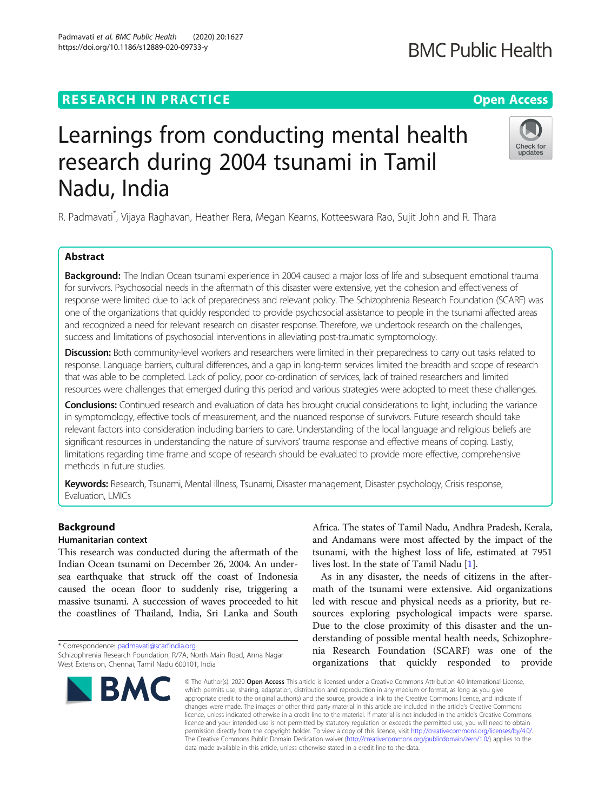# **RESEARCH IN PRACTICE Example 20 and 20 and 20 and 20 and 20 and 20 and 20 and 20 and 20 and 20 and 20 and 20 and 20 and 20 and 20 and 20 and 20 and 20 and 20 and 20 and 20 and 20 and 20 and 20 and 20 and 20 and 20 and 2**

# Learnings from conducting mental health research during 2004 tsunami in Tamil Nadu, India

R. Padmavati\* , Vijaya Raghavan, Heather Rera, Megan Kearns, Kotteeswara Rao, Sujit John and R. Thara

# Abstract

Background: The Indian Ocean tsunami experience in 2004 caused a major loss of life and subsequent emotional trauma for survivors. Psychosocial needs in the aftermath of this disaster were extensive, yet the cohesion and effectiveness of response were limited due to lack of preparedness and relevant policy. The Schizophrenia Research Foundation (SCARF) was one of the organizations that quickly responded to provide psychosocial assistance to people in the tsunami affected areas and recognized a need for relevant research on disaster response. Therefore, we undertook research on the challenges, success and limitations of psychosocial interventions in alleviating post-traumatic symptomology.

Discussion: Both community-level workers and researchers were limited in their preparedness to carry out tasks related to response. Language barriers, cultural differences, and a gap in long-term services limited the breadth and scope of research that was able to be completed. Lack of policy, poor co-ordination of services, lack of trained researchers and limited resources were challenges that emerged during this period and various strategies were adopted to meet these challenges.

Conclusions: Continued research and evaluation of data has brought crucial considerations to light, including the variance in symptomology, effective tools of measurement, and the nuanced response of survivors. Future research should take relevant factors into consideration including barriers to care. Understanding of the local language and religious beliefs are significant resources in understanding the nature of survivors' trauma response and effective means of coping. Lastly, limitations regarding time frame and scope of research should be evaluated to provide more effective, comprehensive methods in future studies.

Keywords: Research, Tsunami, Mental illness, Tsunami, Disaster management, Disaster psychology, Crisis response, Evaluation, LMICs

# Background

# Humanitarian context

This research was conducted during the aftermath of the Indian Ocean tsunami on December 26, 2004. An undersea earthquake that struck off the coast of Indonesia caused the ocean floor to suddenly rise, triggering a massive tsunami. A succession of waves proceeded to hit the coastlines of Thailand, India, Sri Lanka and South

Schizophrenia Research Foundation, R/7A, North Main Road, Anna Nagar West Extension, Chennai, Tamil Nadu 600101, India

**BMC** 

Africa. The states of Tamil Nadu, Andhra Pradesh, Kerala, and Andamans were most affected by the impact of the tsunami, with the highest loss of life, estimated at 7951 lives lost. In the state of Tamil Nadu [[1\]](#page-4-0).

As in any disaster, the needs of citizens in the aftermath of the tsunami were extensive. Aid organizations led with rescue and physical needs as a priority, but resources exploring psychological impacts were sparse. Due to the close proximity of this disaster and the understanding of possible mental health needs, Schizophrenia Research Foundation (SCARF) was one of the organizations that quickly responded to provide

© The Author(s), 2020 **Open Access** This article is licensed under a Creative Commons Attribution 4.0 International License, which permits use, sharing, adaptation, distribution and reproduction in any medium or format, as long as you give appropriate credit to the original author(s) and the source, provide a link to the Creative Commons licence, and indicate if changes were made. The images or other third party material in this article are included in the article's Creative Commons licence, unless indicated otherwise in a credit line to the material. If material is not included in the article's Creative Commons licence and your intended use is not permitted by statutory regulation or exceeds the permitted use, you will need to obtain permission directly from the copyright holder. To view a copy of this licence, visit [http://creativecommons.org/licenses/by/4.0/.](http://creativecommons.org/licenses/by/4.0/) The Creative Commons Public Domain Dedication waiver [\(http://creativecommons.org/publicdomain/zero/1.0/](http://creativecommons.org/publicdomain/zero/1.0/)) applies to the data made available in this article, unless otherwise stated in a credit line to the data.

\* Correspondence: [padmavati@scarfindia.org](mailto:padmavati@scarfindia.org)





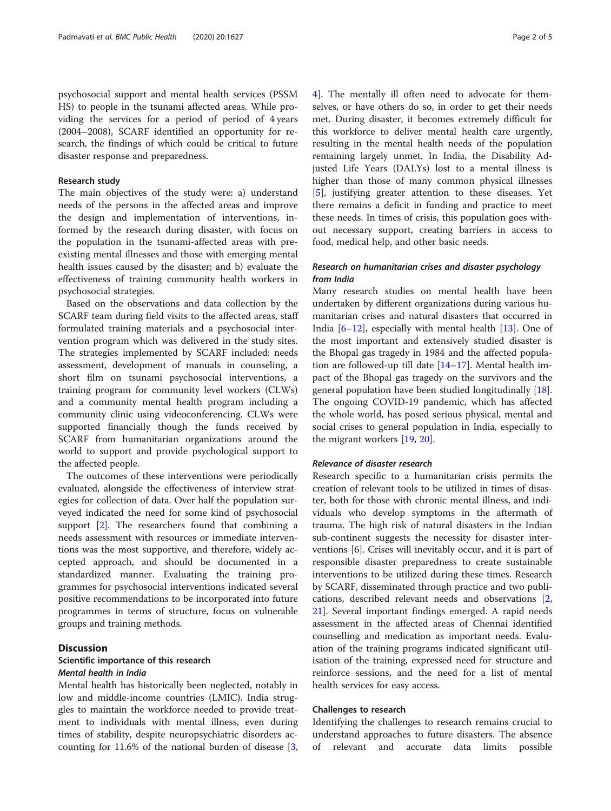#### Research study

The main objectives of the study were: a) understand needs of the persons in the affected areas and improve the design and implementation of interventions, informed by the research during disaster, with focus on the population in the tsunami-affected areas with preexisting mental illnesses and those with emerging mental health issues caused by the disaster; and b) evaluate the effectiveness of training community health workers in psychosocial strategies.

Based on the observations and data collection by the SCARF team during field visits to the affected areas, staff formulated training materials and a psychosocial intervention program which was delivered in the study sites. The strategies implemented by SCARF included: needs assessment, development of manuals in counseling, a short film on tsunami psychosocial interventions, a training program for community level workers (CLWs) and a community mental health program including a community clinic using videoconferencing. CLWs were supported financially though the funds received by SCARF from humanitarian organizations around the world to support and provide psychological support to the affected people.

The outcomes of these interventions were periodically evaluated, alongside the effectiveness of interview strategies for collection of data. Over half the population surveyed indicated the need for some kind of psychosocial support [[2\]](#page-4-0). The researchers found that combining a needs assessment with resources or immediate interventions was the most supportive, and therefore, widely accepted approach, and should be documented in a standardized manner. Evaluating the training programmes for psychosocial interventions indicated several positive recommendations to be incorporated into future programmes in terms of structure, focus on vulnerable groups and training methods.

#### **Discussion**

# Scientific importance of this research Mental health in India

Mental health has historically been neglected, notably in low and middle-income countries (LMIC). India struggles to maintain the workforce needed to provide treatment to individuals with mental illness, even during times of stability, despite neuropsychiatric disorders accounting for 11.6% of the national burden of disease [\[3](#page-4-0), [4\]](#page-4-0). The mentally ill often need to advocate for themselves, or have others do so, in order to get their needs met. During disaster, it becomes extremely difficult for this workforce to deliver mental health care urgently, resulting in the mental health needs of the population remaining largely unmet. In India, the Disability Adjusted Life Years (DALYs) lost to a mental illness is higher than those of many common physical illnesses [[5\]](#page-4-0), justifying greater attention to these diseases. Yet there remains a deficit in funding and practice to meet these needs. In times of crisis, this population goes without necessary support, creating barriers in access to food, medical help, and other basic needs.

### Research on humanitarian crises and disaster psychology from India

Many research studies on mental health have been undertaken by different organizations during various humanitarian crises and natural disasters that occurred in India  $[6-12]$  $[6-12]$  $[6-12]$  $[6-12]$  $[6-12]$ , especially with mental health  $[13]$  $[13]$ . One of the most important and extensively studied disaster is the Bhopal gas tragedy in 1984 and the affected population are followed-up till date [[14](#page-4-0)–[17](#page-4-0)]. Mental health impact of the Bhopal gas tragedy on the survivors and the general population have been studied longitudinally [\[18](#page-4-0)]. The ongoing COVID-19 pandemic, which has affected the whole world, has posed serious physical, mental and social crises to general population in India, especially to the migrant workers [\[19,](#page-4-0) [20\]](#page-4-0).

# Relevance of disaster research

Research specific to a humanitarian crisis permits the creation of relevant tools to be utilized in times of disaster, both for those with chronic mental illness, and individuals who develop symptoms in the aftermath of trauma. The high risk of natural disasters in the Indian sub-continent suggests the necessity for disaster interventions [6]. Crises will inevitably occur, and it is part of responsible disaster preparedness to create sustainable interventions to be utilized during these times. Research by SCARF, disseminated through practice and two publications, described relevant needs and observations [\[2](#page-4-0), [21\]](#page-4-0). Several important findings emerged. A rapid needs assessment in the affected areas of Chennai identified counselling and medication as important needs. Evaluation of the training programs indicated significant utilisation of the training, expressed need for structure and reinforce sessions, and the need for a list of mental health services for easy access.

#### Challenges to research

Identifying the challenges to research remains crucial to understand approaches to future disasters. The absence of relevant and accurate data limits possible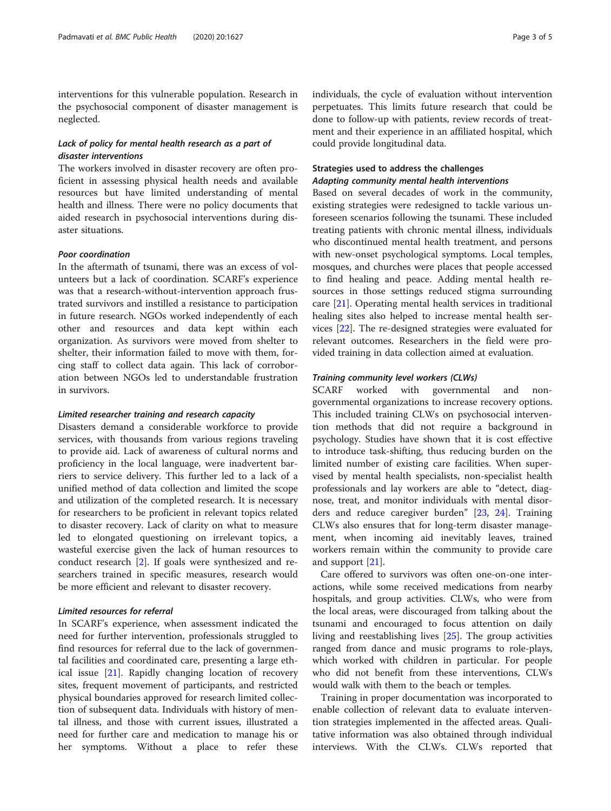interventions for this vulnerable population. Research in the psychosocial component of disaster management is neglected.

# Lack of policy for mental health research as a part of disaster interventions

The workers involved in disaster recovery are often proficient in assessing physical health needs and available resources but have limited understanding of mental health and illness. There were no policy documents that aided research in psychosocial interventions during disaster situations.

#### Poor coordination

In the aftermath of tsunami, there was an excess of volunteers but a lack of coordination. SCARF's experience was that a research-without-intervention approach frustrated survivors and instilled a resistance to participation in future research. NGOs worked independently of each other and resources and data kept within each organization. As survivors were moved from shelter to shelter, their information failed to move with them, forcing staff to collect data again. This lack of corroboration between NGOs led to understandable frustration in survivors.

#### Limited researcher training and research capacity

Disasters demand a considerable workforce to provide services, with thousands from various regions traveling to provide aid. Lack of awareness of cultural norms and proficiency in the local language, were inadvertent barriers to service delivery. This further led to a lack of a unified method of data collection and limited the scope and utilization of the completed research. It is necessary for researchers to be proficient in relevant topics related to disaster recovery. Lack of clarity on what to measure led to elongated questioning on irrelevant topics, a wasteful exercise given the lack of human resources to conduct research [\[2](#page-4-0)]. If goals were synthesized and researchers trained in specific measures, research would be more efficient and relevant to disaster recovery.

#### Limited resources for referral

In SCARF's experience, when assessment indicated the need for further intervention, professionals struggled to find resources for referral due to the lack of governmental facilities and coordinated care, presenting a large ethical issue [[21\]](#page-4-0). Rapidly changing location of recovery sites, frequent movement of participants, and restricted physical boundaries approved for research limited collection of subsequent data. Individuals with history of mental illness, and those with current issues, illustrated a need for further care and medication to manage his or her symptoms. Without a place to refer these individuals, the cycle of evaluation without intervention perpetuates. This limits future research that could be done to follow-up with patients, review records of treatment and their experience in an affiliated hospital, which could provide longitudinal data.

# Strategies used to address the challenges

### Adapting community mental health interventions

Based on several decades of work in the community, existing strategies were redesigned to tackle various unforeseen scenarios following the tsunami. These included treating patients with chronic mental illness, individuals who discontinued mental health treatment, and persons with new-onset psychological symptoms. Local temples, mosques, and churches were places that people accessed to find healing and peace. Adding mental health resources in those settings reduced stigma surrounding care [[21\]](#page-4-0). Operating mental health services in traditional healing sites also helped to increase mental health services [\[22\]](#page-4-0). The re-designed strategies were evaluated for relevant outcomes. Researchers in the field were provided training in data collection aimed at evaluation.

#### Training community level workers (CLWs)

SCARF worked with governmental and nongovernmental organizations to increase recovery options. This included training CLWs on psychosocial intervention methods that did not require a background in psychology. Studies have shown that it is cost effective to introduce task-shifting, thus reducing burden on the limited number of existing care facilities. When supervised by mental health specialists, non-specialist health professionals and lay workers are able to "detect, diagnose, treat, and monitor individuals with mental disorders and reduce caregiver burden" [[23,](#page-4-0) [24](#page-4-0)]. Training CLWs also ensures that for long-term disaster management, when incoming aid inevitably leaves, trained workers remain within the community to provide care and support [\[21](#page-4-0)].

Care offered to survivors was often one-on-one interactions, while some received medications from nearby hospitals, and group activities. CLWs, who were from the local areas, were discouraged from talking about the tsunami and encouraged to focus attention on daily living and reestablishing lives [\[25](#page-4-0)]. The group activities ranged from dance and music programs to role-plays, which worked with children in particular. For people who did not benefit from these interventions, CLWs would walk with them to the beach or temples.

Training in proper documentation was incorporated to enable collection of relevant data to evaluate intervention strategies implemented in the affected areas. Qualitative information was also obtained through individual interviews. With the CLWs. CLWs reported that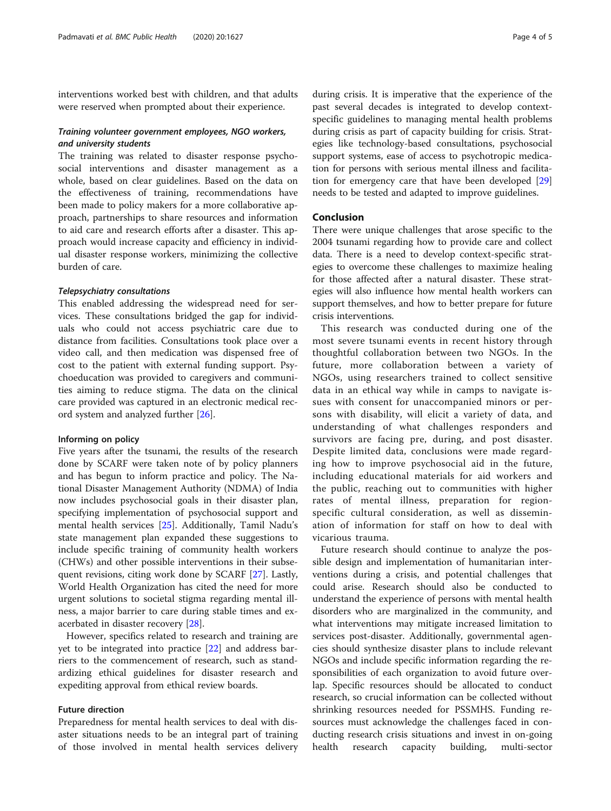interventions worked best with children, and that adults were reserved when prompted about their experience.

#### Training volunteer government employees, NGO workers, and university students

The training was related to disaster response psychosocial interventions and disaster management as a whole, based on clear guidelines. Based on the data on the effectiveness of training, recommendations have been made to policy makers for a more collaborative approach, partnerships to share resources and information to aid care and research efforts after a disaster. This approach would increase capacity and efficiency in individual disaster response workers, minimizing the collective burden of care.

#### Telepsychiatry consultations

This enabled addressing the widespread need for services. These consultations bridged the gap for individuals who could not access psychiatric care due to distance from facilities. Consultations took place over a video call, and then medication was dispensed free of cost to the patient with external funding support. Psychoeducation was provided to caregivers and communities aiming to reduce stigma. The data on the clinical care provided was captured in an electronic medical record system and analyzed further [[26\]](#page-4-0).

#### Informing on policy

Five years after the tsunami, the results of the research done by SCARF were taken note of by policy planners and has begun to inform practice and policy. The National Disaster Management Authority (NDMA) of India now includes psychosocial goals in their disaster plan, specifying implementation of psychosocial support and mental health services [[25\]](#page-4-0). Additionally, Tamil Nadu's state management plan expanded these suggestions to include specific training of community health workers (CHWs) and other possible interventions in their subsequent revisions, citing work done by SCARF [\[27](#page-4-0)]. Lastly, World Health Organization has cited the need for more urgent solutions to societal stigma regarding mental illness, a major barrier to care during stable times and exacerbated in disaster recovery [\[28](#page-4-0)].

However, specifics related to research and training are yet to be integrated into practice [\[22](#page-4-0)] and address barriers to the commencement of research, such as standardizing ethical guidelines for disaster research and expediting approval from ethical review boards.

#### Future direction

Preparedness for mental health services to deal with disaster situations needs to be an integral part of training of those involved in mental health services delivery during crisis. It is imperative that the experience of the past several decades is integrated to develop contextspecific guidelines to managing mental health problems during crisis as part of capacity building for crisis. Strategies like technology-based consultations, psychosocial support systems, ease of access to psychotropic medication for persons with serious mental illness and facilitation for emergency care that have been developed [[29](#page-4-0)] needs to be tested and adapted to improve guidelines.

#### Conclusion

There were unique challenges that arose specific to the 2004 tsunami regarding how to provide care and collect data. There is a need to develop context-specific strategies to overcome these challenges to maximize healing for those affected after a natural disaster. These strategies will also influence how mental health workers can support themselves, and how to better prepare for future crisis interventions.

This research was conducted during one of the most severe tsunami events in recent history through thoughtful collaboration between two NGOs. In the future, more collaboration between a variety of NGOs, using researchers trained to collect sensitive data in an ethical way while in camps to navigate issues with consent for unaccompanied minors or persons with disability, will elicit a variety of data, and understanding of what challenges responders and survivors are facing pre, during, and post disaster. Despite limited data, conclusions were made regarding how to improve psychosocial aid in the future, including educational materials for aid workers and the public, reaching out to communities with higher rates of mental illness, preparation for regionspecific cultural consideration, as well as dissemination of information for staff on how to deal with vicarious trauma.

Future research should continue to analyze the possible design and implementation of humanitarian interventions during a crisis, and potential challenges that could arise. Research should also be conducted to understand the experience of persons with mental health disorders who are marginalized in the community, and what interventions may mitigate increased limitation to services post-disaster. Additionally, governmental agencies should synthesize disaster plans to include relevant NGOs and include specific information regarding the responsibilities of each organization to avoid future overlap. Specific resources should be allocated to conduct research, so crucial information can be collected without shrinking resources needed for PSSMHS. Funding resources must acknowledge the challenges faced in conducting research crisis situations and invest in on-going health research capacity building, multi-sector